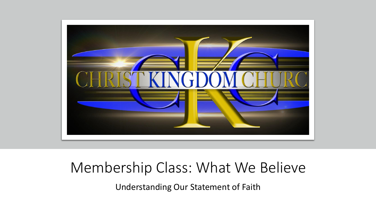

#### Membership Class: What We Believe

Understanding Our Statement of Faith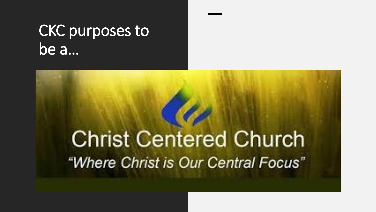### CKC purposes to be a…

### **Christ Centered Church** "Where Christ is Our Central Focus"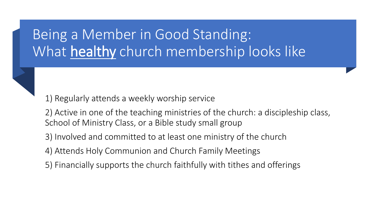#### Being a Member in Good Standing: What healthy church membership looks like

1) Regularly attends a weekly worship service

2) Active in one of the teaching ministries of the church: a discipleship class, School of Ministry Class, or a Bible study small group

3) Involved and committed to at least one ministry of the church

4) Attends Holy Communion and Church Family Meetings

5) Financially supports the church faithfully with tithes and offerings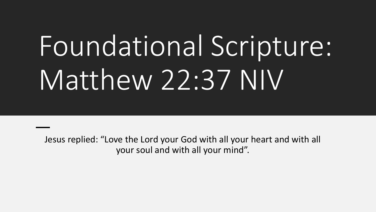# Foundational Scripture: Matthew 22:37 NIV

Jesus replied: "Love the Lord your God with all your heart and with all your soul and with all your mind".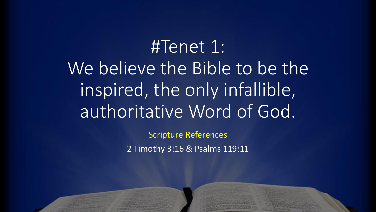#Tenet 1: We believe the Bible to be the inspired, the only infallible, authoritative Word of God.

> Scripture References 2 Timothy 3:16 & Psalms 119:11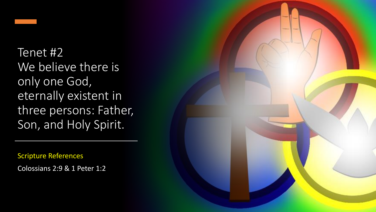

Tenet #2 We believe there is only one God, eternally existent in three persons: Father, Son, and Holy Spirit.

Scripture References

Colossians 2:9 & 1 Peter 1:2

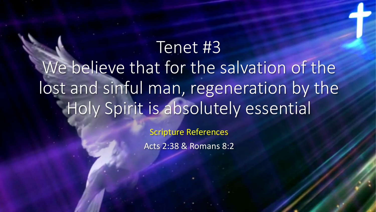Tenet #3 We believe that for the salvation of the lost and sinful man, regeneration by the Holy Spirit is absolutely essential

> Scripture References Acts 2:38 & Romans 8:2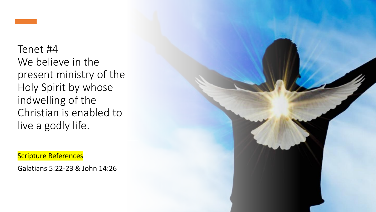Tenet #4 We believe in the present ministry of the Holy Spirit by whose indwelling of the Christian is enabled to live a godly life.

Scripture References

Galatians 5:22-23 & John 14:26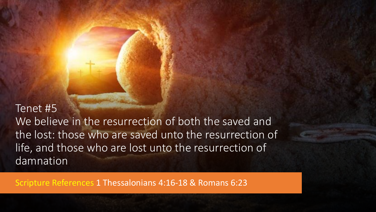Tenet #5 We believe in the resurrection of both the saved and the lost: those who are saved unto the resurrection of life, and those who are lost unto the resurrection of damnation

Scripture References 1 Thessalonians 4:16-18 & Romans 6:23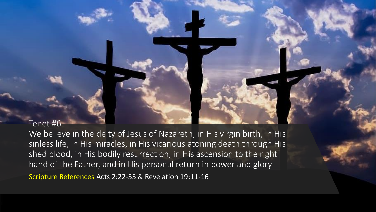Tenet #6

We believe in the deity of Jesus of Nazareth, in His virgin birth, in His sinless life, in His miracles, in His vicarious atoning death through His shed blood, in His bodily resurrection, in His ascension to the right hand of the Father, and in His personal return in power and glory

Scripture References Acts 2:22-33 & Revelation 19:11-16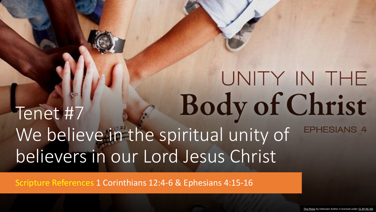#### UNITY IN THE Body of Christ Tenet #7 We believe in the spiritual unity of **EPHESIANS 4** believers in our Lord Jesus Christ

Scripture References 1 Corinthians 12:4-6 & Ephesians 4:15-16